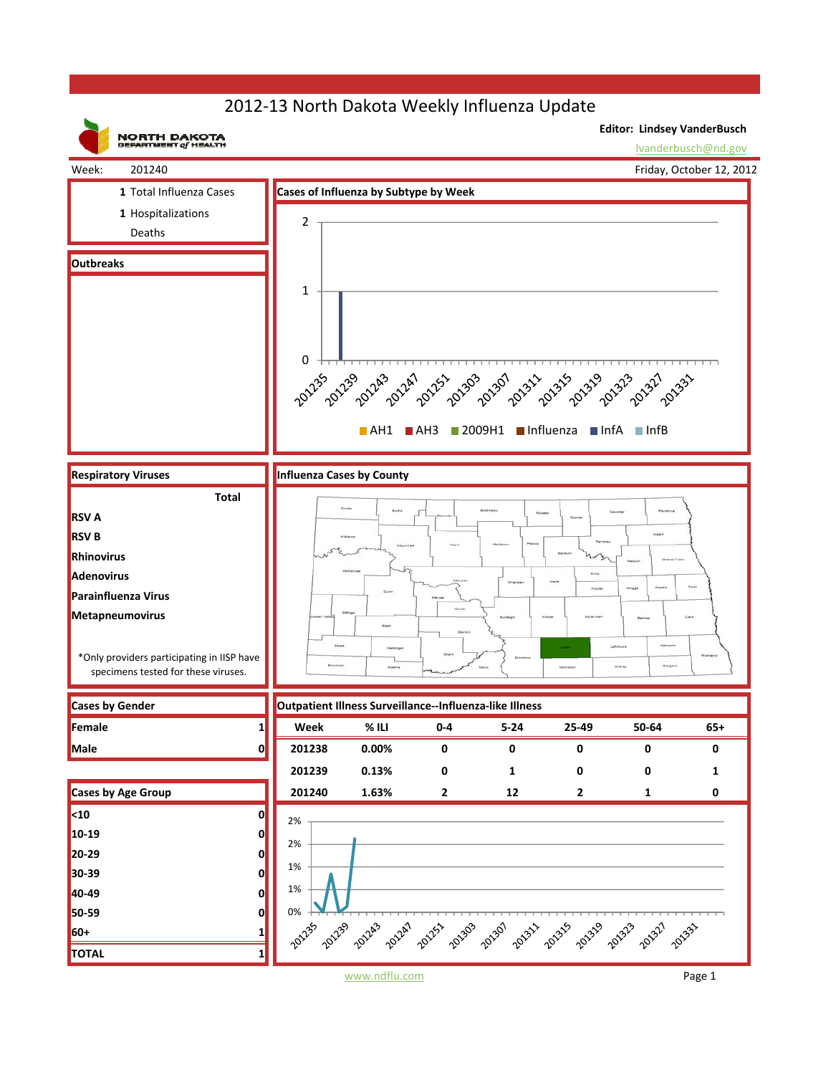## 2012‐13 North Dakota Weekly Influenza Update



www.ndflu.com Page 1